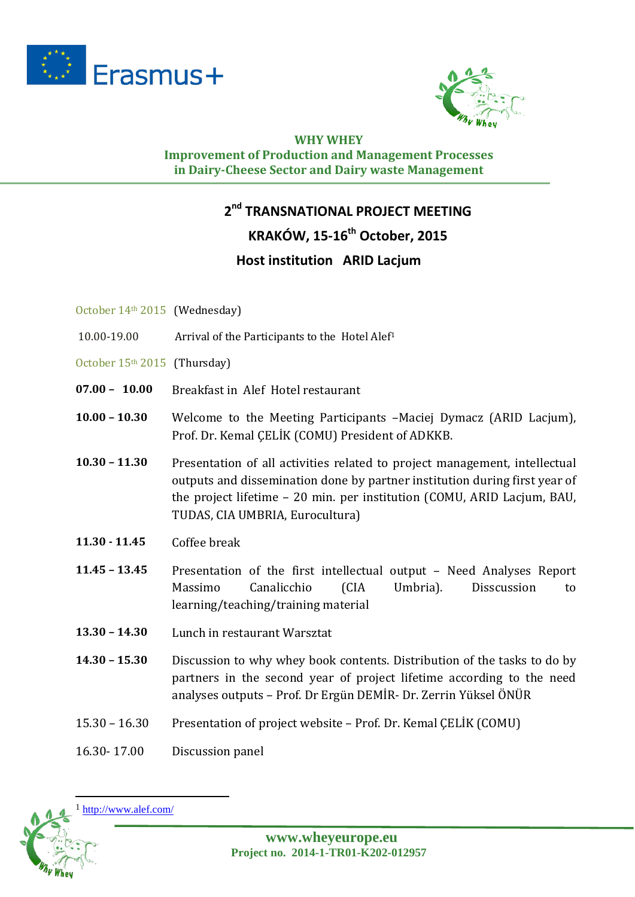



## **WHY WHEY Improvement of Production and Management Processes**

#### **in Dairy-Cheese Sector and Dairy waste Management**

### **2nd TRANSNATIONAL PROJECT MEETING**

### **KRAKÓW, 15-16th October, 2015**

#### **Host institution ARID Lacjum**

- October 14th 2015 (Wednesday)
- 10.00-19.00 Arrival of the Participants to the Hotel Alef[1](#page-0-0)
- October 15<sup>th</sup> 2015 (Thursday)
- **07.00 10.00** Breakfast in Alef Hotel restaurant
- **10.00 – 10.30** Welcome to the Meeting Participants –Maciej Dymacz (ARID Lacjum), Prof. Dr. Kemal ÇELİK (COMU) President of ADKKB.
- **10.30 – 11.30** Presentation of all activities related to project management, intellectual outputs and dissemination done by partner institution during first year of the project lifetime – 20 min. per institution (COMU, ARID Lacjum, BAU, TUDAS, CIA UMBRIA, Eurocultura)
- **11.30 - 11.45** Coffee break
- **11.45 – 13.45** Presentation of the first intellectual output Need Analyses Report Massimo Canalicchio (CIA Umbria). Disscussion to learning/teaching/training material
- **13.30 – 14.30** Lunch in restaurant Warsztat
- **14.30 – 15.30** Discussion to why whey book contents. Distribution of the tasks to do by partners in the second year of project lifetime according to the need analyses outputs – Prof. Dr Ergün DEMİR- Dr. Zerrin Yüksel ÖNÜR
- 15.30 16.30 Presentation of project website Prof. Dr. Kemal ÇELİK (COMU)
- 16.30- 17.00 Discussion panel

<span id="page-0-0"></span>

**.**